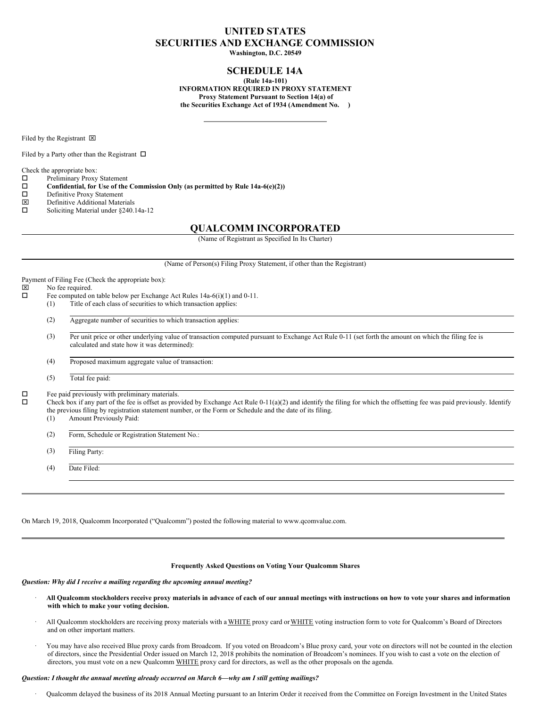# **UNITED STATES SECURITIES AND EXCHANGE COMMISSION**

**Washington, D.C. 20549**

# **SCHEDULE 14A**

**(Rule 14a-101) INFORMATION REQUIRED IN PROXY STATEMENT Proxy Statement Pursuant to Section 14(a) of the Securities Exchange Act of 1934 (Amendment No. )**

Filed by the Registrant  $\boxtimes$ 

Filed by a Party other than the Registrant  $\Box$ 

Check the appropriate box:

 $\square$  Preliminary Proxy Statement<br> $\square$  Confidential, for Use of the

**Confidential, for** Use of the Commission Only (as permitted by Rule  $14a-6(e)(2)$ )<br>  $\Box$  Definitive Proxy Statement

- □ Definitive Proxy Statement<br> **図** Definitive Additional Mater
- $\boxtimes$  Definitive Additional Materials<br> $\square$  Soliciting Material under \$240.
- Soliciting Material under §240.14a-12

# **QUALCOMM INCORPORATED**

(Name of Registrant as Specified In Its Charter)

(Name of Person(s) Filing Proxy Statement, if other than the Registrant)

Payment of Filing Fee (Check the appropriate box):  $\boxtimes$  No fee required.<br> $\square$  Fee computed on Fee computed on table below per Exchange Act Rules 14a-6(i)(1) and 0-11. (1) Title of each class of securities to which transaction applies: (2) Aggregate number of securities to which transaction applies: (3) Per unit price or other underlying value of transaction computed pursuant to Exchange Act Rule 0-11 (set forth the amount on which the filing fee is calculated and state how it was determined): (4) Proposed maximum aggregate value of transaction: (5) Total fee paid:  $\Box$  Fee paid previously with preliminary materials.<br> $\Box$  Check box if any part of the fee is offeet as provided. Check box if any part of the fee is offset as provided by Exchange Act Rule 0-11(a)(2) and identify the filing for which the offsetting fee was paid previously. Identify the previous filing by registration statement number, or the Form or Schedule and the date of its filing. (1) Amount Previously Paid: (2) Form, Schedule or Registration Statement No.: (3) Filing Party:

(4) Date Filed:

On March 19, 2018, Qualcomm Incorporated ("Qualcomm") posted the following material to www.qcomvalue.com.

# **Frequently Asked Questions on Voting Your Qualcomm Shares**

*Question: Why did I receive a mailing regarding the upcoming annual meeting?*

- All Qualcomm stockholders receive proxy materials in advance of each of our annual meetings with instructions on how to vote your shares and information **with which to make your voting decision.**
- All Qualcomm stockholders are receiving proxy materials with a WHITE proxy card or WHITE voting instruction form to vote for Qualcomm's Board of Directors and on other important matters.
- · You may have also received Blue proxy cards from Broadcom. If you voted on Broadcom's Blue proxy card, your vote on directors will not be counted in the election of directors, since the Presidential Order issued on March 12, 2018 prohibits the nomination of Broadcom's nominees. If you wish to cast a vote on the election of directors, you must vote on a new Qualcomm WHITE proxy card for directors, as well as the other proposals on the agenda.

#### *Question: I thought the annual meeting already occurred on March 6—why am I still getting mailings?*

· Qualcomm delayed the business of its 2018 Annual Meeting pursuant to an Interim Order it received from the Committee on Foreign Investment in the United States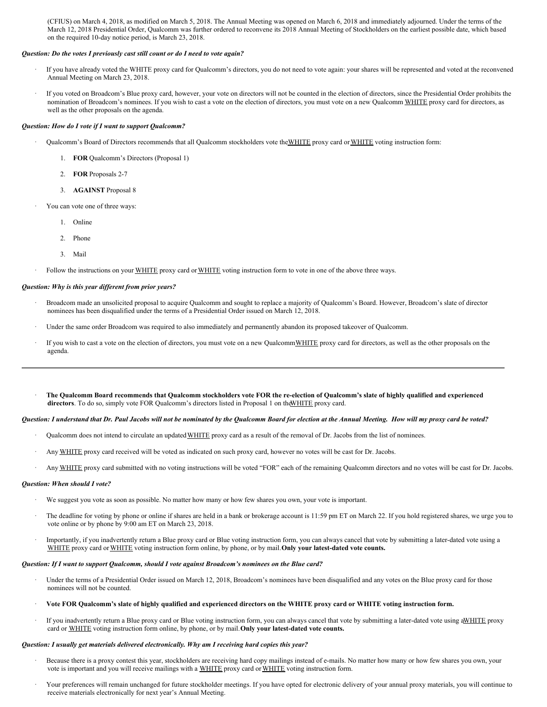(CFIUS) on March 4, 2018, as modified on March 5, 2018. The Annual Meeting was opened on March 6, 2018 and immediately adjourned. Under the terms of the March 12, 2018 Presidential Order, Qualcomm was further ordered to reconvene its 2018 Annual Meeting of Stockholders on the earliest possible date, which based on the required 10-day notice period, is March 23, 2018.

# *Question: Do the votes I previously cast still count or do I need to vote again?*

- · If you have already voted the WHITE proxy card for Qualcomm's directors, you do not need to vote again: your shares will be represented and voted at the reconvened Annual Meeting on March 23, 2018.
- · If you voted on Broadcom's Blue proxy card, however, your vote on directors will not be counted in the election of directors, since the Presidential Order prohibits the nomination of Broadcom's nominees. If you wish to cast a vote on the election of directors, you must vote on a new Qualcomm WHITE proxy card for directors, as well as the other proposals on the agenda.

## *Question: How do I vote if I want to support Qualcomm?*

- Qualcomm's Board of Directors recommends that all Qualcomm stockholders vote the WHITE proxy card or WHITE voting instruction form:
	- 1. **FOR** Qualcomm's Directors (Proposal 1)
	- 2. **FOR** Proposals 2-7
	- 3. **AGAINST** Proposal 8
- You can vote one of three ways:
	- 1. Online
	- 2. Phone
	- 3. Mail
- Follow the instructions on your WHITE proxy card or WHITE voting instruction form to vote in one of the above three ways.

#### *Question: Why is this year dif erent from prior years?*

- · Broadcom made an unsolicited proposal to acquire Qualcomm and sought to replace a majority of Qualcomm's Board. However, Broadcom's slate of director nominees has been disqualified under the terms of a Presidential Order issued on March 12, 2018.
- Under the same order Broadcom was required to also immediately and permanently abandon its proposed takeover of Qualcomm.
- If you wish to cast a vote on the election of directors, you must vote on a new Qualcomm WHITE proxy card for directors, as well as the other proposals on the agenda.
- The Qualcomm Board recommends that Qualcomm stockholders vote FOR the re-election of Qualcomm's slate of highly qualified and experienced **directors**. To do so, simply vote FOR Qualcomm's directors listed in Proposal 1 on theWHITE proxy card.

#### Question: I understand that Dr. Paul Jacobs will not be nominated by the Qualcomm Board for election at the Annual Meeting. How will my proxy card be voted?

- Qualcomm does not intend to circulate an updated WHITE proxy card as a result of the removal of Dr. Jacobs from the list of nominees.
- Any WHITE proxy card received will be voted as indicated on such proxy card, however no votes will be cast for Dr. Jacobs.
- Any WHITE proxy card submitted with no voting instructions will be voted "FOR" each of the remaining Qualcomm directors and no votes will be cast for Dr. Jacobs.

#### *Question: When should I vote?*

- We suggest you vote as soon as possible. No matter how many or how few shares you own, your vote is important.
- The deadline for voting by phone or online if shares are held in a bank or brokerage account is 11:59 pm ET on March 22. If you hold registered shares, we urge you to vote online or by phone by 9:00 am ET on March 23, 2018.
- · Importantly, if you inadvertently return a Blue proxy card or Blue voting instruction form, you can always cancel that vote by submitting a later-dated vote using a WHITE proxy card orWHITE voting instruction form online, by phone, or by mail.**Only your latest-dated vote counts.**

#### *Question: If I want to support Qualcomm, should I vote against Broadcom's nominees on the Blue card?*

- Under the terms of a Presidential Order issued on March 12, 2018, Broadcom's nominees have been disqualified and any votes on the Blue proxy card for those nominees will not be counted.
- Vote FOR Qualcomm's slate of highly qualified and experienced directors on the WHITE proxy card or WHITE voting instruction form.
- If you inadvertently return a Blue proxy card or Blue voting instruction form, you can always cancel that vote by submitting a later-dated vote using aWHITE proxy card or WHITE voting instruction form online, by phone, or by mail.**Only your latest-dated vote counts.**

#### *Question: I usually get materials delivered electronically. Why am I receiving hard copies this year?*

- Because there is a proxy contest this year, stockholders are receiving hard copy mailings instead of e-mails. No matter how many or how few shares you own, your vote is important and you will receive mailings with a WHITE proxy card or WHITE voting instruction form.
- Your preferences will remain unchanged for future stockholder meetings. If you have opted for electronic delivery of your annual proxy materials, you will continue to receive materials electronically for next year's Annual Meeting.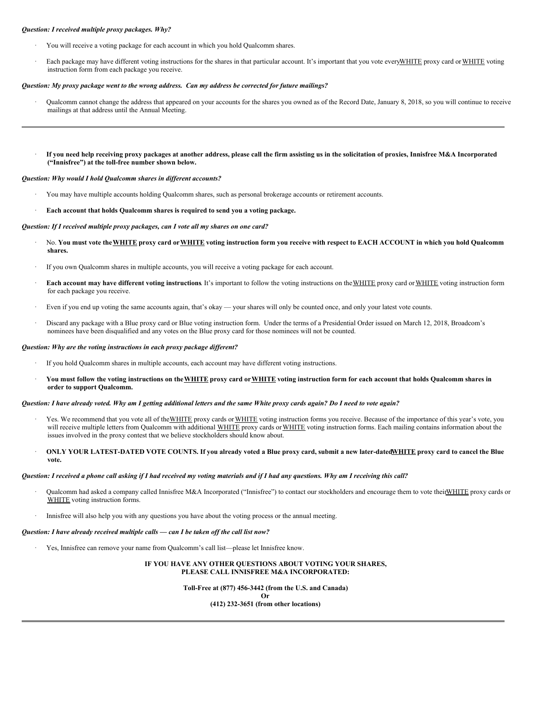## *Question: I received multiple proxy packages. Why?*

- You will receive a voting package for each account in which you hold Qualcomm shares.
- Each package may have different voting instructions for the shares in that particular account. It's important that you vote everyWHITE proxy card or WHITE voting instruction form from each package you receive.

#### *Question: My proxy package went to the wrong address. Can my address be corrected for future mailings?*

- · Qualcomm cannot change the address that appeared on your accounts for the shares you owned as of the Record Date, January 8, 2018, so you will continue to receive mailings at that address until the Annual Meeting.
- If you need help receiving proxy packages at another address, please call the firm assisting us in the solicitation of proxies, Innisfree M&A Incorporated **("Innisfree") at the toll-free number shown below.**

#### *Question: Why would I hold Qualcomm shares in dif erent accounts?*

· You may have multiple accounts holding Qualcomm shares, such as personal brokerage accounts or retirement accounts.

# · **Each account that holds Qualcomm shares is required to send you a voting package.**

#### *Question: If I received multiple proxy packages, can I vote all my shares on one card?*

- No. You must vote the WHITE proxy card or WHITE voting instruction form you receive with respect to EACH ACCOUNT in which you hold Qualcomm **shares.**
- If you own Qualcomm shares in multiple accounts, you will receive a voting package for each account.
- · **Each account may have different voting instructions**. It's important to follow the voting instructions on theWHITE proxy card orWHITE voting instruction form for each package you receive.
- Even if you end up voting the same accounts again, that's okay your shares will only be counted once, and only your latest vote counts.
- · Discard any package with a Blue proxy card or Blue voting instruction form. Under the terms of a Presidential Order issued on March 12, 2018, Broadcom's nominees have been disqualified and any votes on the Blue proxy card for those nominees will not be counted.

# *Question: Why are the voting instructions in each proxy package dif erent?*

- If you hold Qualcomm shares in multiple accounts, each account may have different voting instructions.
- You must follow the voting instructions on the WHITE proxy card or WHITE voting instruction form for each account that holds Qualcomm shares in **order to support Qualcomm.**

# Question: I have already voted. Why am I getting additional letters and the same White proxy cards again? Do I need to vote again?

- Yes. We recommend that you vote all of the WHITE proxy cards or WHITE voting instruction forms you receive. Because of the importance of this year's vote, you will receive multiple letters from Qualcomm with additional WHITE proxy cards or WHITE voting instruction forms. Each mailing contains information about the issues involved in the proxy contest that we believe stockholders should know about.
- ONLY YOUR LATEST-DATED VOTE COUNTS. If you already voted a Blue proxy card, submit a new later-dated WHITE proxy card to cancel the Blue **vote.**

# Question: I received a phone call asking if I had received my voting materials and if I had any questions. Why am I receiving this call?

- Qualcomm had asked a company called Innisfree M&A Incorporated ("Innisfree") to contact our stockholders and encourage them to vote theirWHITE proxy cards or WHITE voting instruction forms.
- Innisfree will also help you with any questions you have about the voting process or the annual meeting.

#### *Question: I have already received multiple calls — can I be taken of the call list now?*

· Yes, Innisfree can remove your name from Qualcomm's call list—please let Innisfree know.

# **IF YOU HAVE ANY OTHER QUESTIONS ABOUT VOTING YOUR SHARES, PLEASE CALL INNISFREE M&A INCORPORATED:**

# **Toll-Free at (877) 456-3442 (from the U.S. and Canada)**

**Or**

**(412) 232-3651 (from other locations)**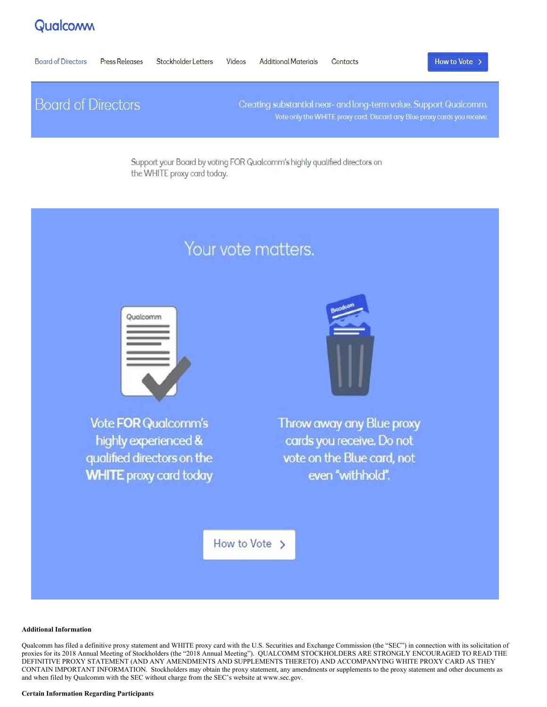# Qualcoww



# **Additional Information**

Qualcomm has filed a definitive proxy statement and WHITE proxy card with the U.S. Securities and Exchange Commission (the "SEC") in connection with its solicitation of proxies for its 2018 Annual Meeting of Stockholders (the "2018 Annual Meeting"). QUALCOMM STOCKHOLDERS ARE STRONGLY ENCOURAGED TO READ THE DEFINITIVE PROXY STATEMENT (AND ANY AMENDMENTS AND SUPPLEMENTS THERETO) AND ACCOMPANYING WHITE PROXY CARD AS THEY CONTAIN IMPORTANT INFORMATION. Stockholders may obtain the proxy statement, any amendments or supplements to the proxy statement and other documents as and when filed by Qualcomm with the SEC without charge from the SEC's website at www.sec.gov.

#### **Certain Information Regarding Participants**